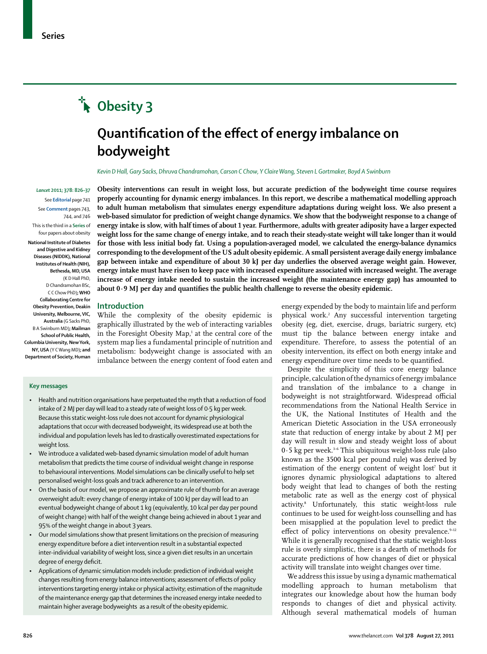# **Obesity 3**

## **Quantifi cation of the effect of energy imbalance on bodyweight**

*Kevin D Hall, Gary Sacks, Dhruva Chandramohan, Carson C Chow, Y Claire Wang, Steven L Gortmaker, Boyd A Swinburn*

#### *Lancet* **2011; 378: 826–37** See **Editorial** page 741

See **Comment** pages 743, 744, and 746

This is the third in a **Series** of four papers about obesity

**National Institute of Diabetes and Digestive and Kidney Diseases (NIDDK), National Institutes of Health (NIH), Bethesda, MD, USA**

(K D Hall PhD, D Chandramohan BSc, C C Chow PhD)**; WHO Collaborating Centre for Obesity Prevention, Deakin University, Melbourne, VIC, Australia** (G Sacks PhD, B A Swinburn MD)**; Mailman School of Public Health, Columbia University, New York, NY, USA** (Y C Wang MD)**; and Department of Society, Human**  **Obesity interventions can result in weight loss, but accurate prediction of the bodyweight time course requires properly accounting for dynamic energy imbalances. In this report, we describe a mathematical modelling approach to adult human metabolism that simulates energy expenditure adaptations during weight loss. We also present a web-based simulator for prediction of weight change dynamics. We show that the bodyweight response to a change of energy intake is slow, with half times of about 1 year. Furthermore, adults with greater adiposity have a larger expected weight loss for the same change of energy intake, and to reach their steady-state weight will take longer than it would for those with less initial body fat. Using a population-averaged model, we calculated the energy-balance dynamics corresponding to the development of the US adult obesity epidemic. A small persistent average daily energy imbalance gap between intake and expenditure of about 30 kJ per day underlies the observed average weight gain. However, energy intake must have risen to keep pace with increased expenditure associated with increased weight. The average increase of energy intake needed to sustain the increased weight (the maintenance energy gap) has amounted to**  about 0·9 MJ per day and quantifies the public health challenge to reverse the obesity epidemic.

### **Introduction**

While the complexity of the obesity epidemic is graphically illustrated by the web of interacting variables in the Foresight Obesity Map,<sup>1</sup> at the central core of the system map lies a fundamental principle of nutrition and metabolism: bodyweight change is associated with an imbalance between the energy content of food eaten and

#### **Key messages**

- Health and nutrition organisations have perpetuated the myth that a reduction of food intake of 2 MJ per day will lead to a steady rate of weight loss of 0·5 kg per week. Because this static weight-loss rule does not account for dynamic physiological adaptations that occur with decreased bodyweight, its widespread use at both the individual and population levels has led to drastically overestimated expectations for weight loss.
- We introduce a validated web-based dynamic simulation model of adult human metabolism that predicts the time course of individual weight change in response to behavioural interventions. Model simulations can be clinically useful to help set personalised weight-loss goals and track adherence to an intervention.
- On the basis of our model, we propose an approximate rule of thumb for an average overweight adult: every change of energy intake of 100 kJ per day will lead to an eventual bodyweight change of about 1 kg (equivalently, 10 kcal per day per pound of weight change) with half of the weight change being achieved in about 1 year and 95% of the weight change in about 3 years.
- Our model simulations show that present limitations on the precision of measuring energy expenditure before a diet intervention result in a substantial expected inter-individual variability of weight loss, since a given diet results in an uncertain degree of energy deficit.
- Applications of dynamic simulation models include: prediction of individual weight changes resulting from energy balance interventions; assessment of effects of policy interventions targeting energy intake or physical activity; estimation of the magnitude of the maintenance energy gap that determines the increased energy intake needed to maintain higher average bodyweights as a result of the obesity epidemic.

energy expended by the body to maintain life and perform physical work.2 Any successful intervention targeting obesity (eg, diet, exercise, drugs, bariatric surgery, etc) must tip the balance between energy intake and expenditure. Therefore, to assess the potential of an obesity intervention, its effect on both energy intake and energy expenditure over time needs to be quantified.

Despite the simplicity of this core energy balance principle, calculation of the dynamics of energy imbalance and translation of the imbalance to a change in bodyweight is not straightforward. Widespread official recommendations from the National Health Service in the UK, the National Institutes of Health and the American Dietetic Association in the USA erroneously state that reduction of energy intake by about 2 MJ per day will result in slow and steady weight loss of about  $0.5$  kg per week.<sup>3-6</sup> This ubiquitous weight-loss rule (also known as the 3500 kcal per pound rule) was derived by estimation of the energy content of weight  $\text{lost}^7$  but it ignores dynamic physiological adaptations to altered body weight that lead to changes of both the resting metabolic rate as well as the energy cost of physical activity.8 Unfortunately, this static weight-loss rule continues to be used for weight-loss counselling and has been misapplied at the population level to predict the effect of policy interventions on obesity prevalence.<sup>9-12</sup> While it is generally recognised that the static weight-loss rule is overly simplistic, there is a dearth of methods for accurate predictions of how changes of diet or physical activity will translate into weight changes over time.

We address this issue by using a dynamic mathematical modelling approach to human metabolism that integrates our knowledge about how the human body responds to changes of diet and physical activity. Although several mathematical models of human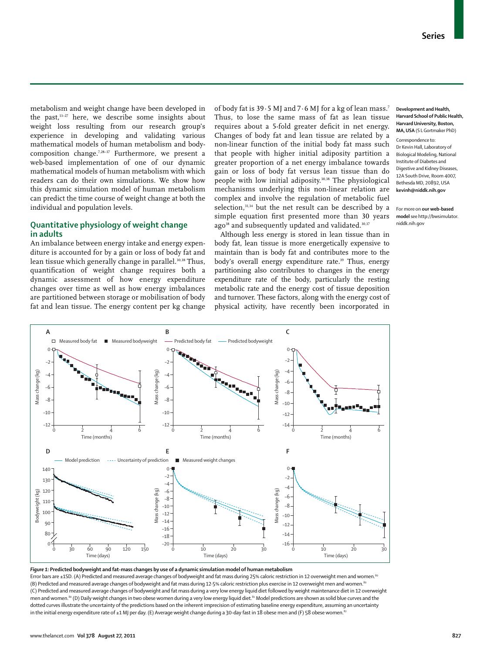metabolism and weight change have been developed in the past,<sup>13-27</sup> here, we describe some insights about weight loss resulting from our research group's experience in developing and validating various mathematical models of human metabolism and bodycomposition change.7,28–37 Furthermore, we present a web-based implementation of one of our dynamic mathematical models of human metabolism with which readers can do their own simulations. We show how this dynamic simulation model of human metabolism can predict the time course of weight change at both the individual and population levels.

## **Quantitative physiology of weight change in adults**

An imbalance between energy intake and energy expenditure is accounted for by a gain or loss of body fat and lean tissue which generally change in parallel.<sup>30,38</sup> Thus, quantification of weight change requires both a dynamic assessment of how energy expenditure changes over time as well as how energy imbalances are partitioned between storage or mobilisation of body fat and lean tissue. The energy content per kg change of body fat is 39·5 MJ and 7·6 MJ for a kg of lean mass.7 Thus, to lose the same mass of fat as lean tissue requires about a 5-fold greater deficit in net energy. Changes of body fat and lean tissue are related by a non-linear function of the initial body fat mass such that people with higher initial adiposity partition a greater proportion of a net energy imbalance towards gain or loss of body fat versus lean tissue than do people with low initial adiposity.30,38 The physiological mechanisms underlying this non-linear relation are complex and involve the regulation of metabolic fuel selection,<sup>31,34</sup> but the net result can be described by a simple equation first presented more than 30 years ago<sup>38</sup> and subsequently updated and validated.<sup>30,37</sup>

Although less energy is stored in lean tissue than in body fat, lean tissue is more energetically expensive to maintain than is body fat and contributes more to the body's overall energy expenditure rate.<sup>39</sup> Thus, energy partitioning also contributes to changes in the energy expenditure rate of the body, particularly the resting metabolic rate and the energy cost of tissue deposition and turnover. These factors, along with the energy cost of physical activity, have recently been incorporated in

#### **Development and Health, Harvard School of Public Health, Harvard University, Boston, MA, USA** (S L Gortmaker PhD)

Correspondence to: Dr Kevin Hall, Laboratory of Biological Modeling, National Institute of Diabetes and Digestive and Kidney Diseases, 12A South Drive, Room 4007, Bethesda MD, 20892, USA **kevinh@niddk.nih.gov**

For more on **our web-based model** see http://bwsimulator. niddk.nih.gov



*Figure 1:* **Predicted bodyweight and fat-mass changes by use of a dynamic simulation model of human metabolism** 

Error bars are ±1SD. (A) Predicted and measured average changes of bodyweight and fat mass during 25% caloric restriction in 12 overweight men and women.<sup>80</sup> (B) Predicted and measured average changes of bodyweight and fat mass during 12·5% caloric restriction plus exercise in 12 overweight men and women.80 (C) Predicted and measured average changes of bodyweight and fat mass during a very low energy liquid diet followed by weight maintenance diet in 12 overweight men and women.<sup>80</sup> (D) Daily weight changes in two obese women during a very low energy liquid diet.<sup>81</sup> Model predictions are shown as solid blue curves and the dotted curves illustrate the uncertainty of the predictions based on the inherent imprecision of estimating baseline energy expenditure, assuming an uncertainty in the initial energy expenditure rate of  $\pm 1$  MJ per day. (E) Average weight change during a 30-day fast in 18 obese men and (F) 58 obese women.<sup>82</sup>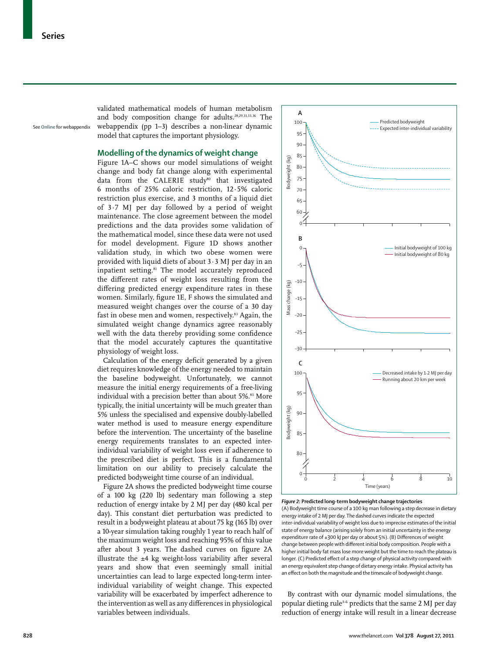See **Online** for webappendix

validated mathematical models of human metabolism and body composition change for adults.28,29,31,33,36 The webappendix (pp 1–3) describes a non-linear dynamic model that captures the important physiology.

## **Modelling of the dynamics of weight change**

Figure 1A–C shows our model simulations of weight change and body fat change along with experimental data from the CALERIE study<sup>80</sup> that investigated 6 months of 25% caloric restriction, 12·5% caloric restriction plus exercise, and 3 months of a liquid diet of 3·7 MJ per day followed by a period of weight maintenance. The close agreement between the model predictions and the data provides some validation of the mathematical model, since these data were not used for model development. Figure 1D shows another validation study, in which two obese women were provided with liquid diets of about  $3.3$  MJ per day in an inpatient setting.<sup>81</sup> The model accurately reproduced the different rates of weight loss resulting from the differing predicted energy expenditure rates in these women. Similarly, figure 1E, F shows the simulated and measured weight changes over the course of a 30 day fast in obese men and women, respectively.<sup>83</sup> Again, the simulated weight change dynamics agree reasonably well with the data thereby providing some confidence that the model accurately captures the quantitative physiology of weight loss.

Calculation of the energy deficit generated by a given diet requires knowledge of the energy needed to maintain the baseline bodyweight. Unfortunately, we cannot measure the initial energy requirements of a free-living individual with a precision better than about 5%.<sup>83</sup> More typically, the initial uncertainty will be much greater than 5% unless the specialised and expensive doubly-labelled water method is used to measure energy expenditure before the intervention. The uncertainty of the baseline energy requirements translates to an expected interindividual variability of weight loss even if adherence to the prescribed diet is perfect. This is a fundamental limitation on our ability to precisely calculate the predicted bodyweight time course of an individual.

Figure 2A shows the predicted bodyweight time course of a 100 kg (220 lb) sedentary man following a step reduction of energy intake by 2 MJ per day (480 kcal per day). This constant diet perturbation was predicted to result in a bodyweight plateau at about 75 kg (165 lb) over a 10-year simulation taking roughly 1 year to reach half of the maximum weight loss and reaching 95% of this value after about 3 years. The dashed curves on figure 2A illustrate the  $\pm 4$  kg weight-loss variability after several years and show that even seemingly small initial uncertainties can lead to large expected long-term interindividual variability of weight change. This expected variability will be exacerbated by imperfect adherence to the intervention as well as any differences in physiological variables between individuals.



#### (A) Bodyweight time course of a 100 kg man following a step decrease in dietary energy intake of 2 MJ per day. The dashed curves indicate the expected inter-individual variability of weight loss due to imprecise estimates of the initial state of energy balance (arising solely from an initial uncertainty in the energy expenditure rate of  $\pm 300$  kJ per day or about 5%). (B) Differences of weight change between people with different initial body composition. People with a higher initial body fat mass lose more weight but the time to reach the plateau is longer. (C) Predicted effect of a step change of physical activity compared with an energy equivalent step change of dietary energy intake. Physical activity has an effect on both the magnitude and the timescale of bodyweight change.

By contrast with our dynamic model simulations, the popular dieting rule3–6 predicts that the same 2 MJ per day reduction of energy intake will result in a linear decrease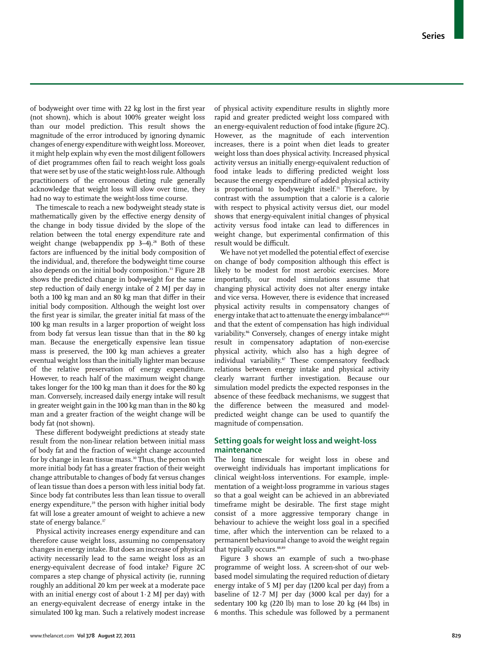of bodyweight over time with 22 kg lost in the first year (not shown), which is about 100% greater weight loss than our model prediction. This result shows the magnitude of the error introduced by ignoring dynamic changes of energy expenditure with weight loss. Moreover, it might help explain why even the most diligent followers of diet programmes often fail to reach weight loss goals that were set by use of the static weight-loss rule. Although practitioners of the erroneous dieting rule generally acknowledge that weight loss will slow over time, they had no way to estimate the weight-loss time course.

The timescale to reach a new bodyweight steady state is mathematically given by the effective energy density of the change in body tissue divided by the slope of the relation between the total energy expenditure rate and weight change (webappendix  $pp$  3-4).<sup>28</sup> Both of these factors are influenced by the initial body composition of the individual, and, therefore the bodyweight time course also depends on the initial body composition.33 Figure 2B shows the predicted change in bodyweight for the same step reduction of daily energy intake of 2 MJ per day in both a 100 kg man and an 80 kg man that differ in their initial body composition. Although the weight lost over the first year is similar, the greater initial fat mass of the 100 kg man results in a larger proportion of weight loss from body fat versus lean tissue than that in the 80 kg man. Because the energetically expensive lean tissue mass is preserved, the 100 kg man achieves a greater eventual weight loss than the initially lighter man because of the relative preservation of energy expenditure. However, to reach half of the maximum weight change takes longer for the 100 kg man than it does for the 80 kg man. Conversely, increased daily energy intake will result in greater weight gain in the 100 kg man than in the 80 kg man and a greater fraction of the weight change will be body fat (not shown).

These different bodyweight predictions at steady state result from the non-linear relation between initial mass of body fat and the fraction of weight change accounted for by change in lean tissue mass.<sup>30</sup> Thus, the person with more initial body fat has a greater fraction of their weight change attributable to changes of body fat versus changes of lean tissue than does a person with less initial body fat. Since body fat contributes less than lean tissue to overall energy expenditure,<sup>39</sup> the person with higher initial body fat will lose a greater amount of weight to achieve a new state of energy balance.<sup>37</sup>

Physical activity increases energy expenditure and can therefore cause weight loss, assuming no compensatory changes in energy intake. But does an increase of physical activity necessarily lead to the same weight loss as an energy-equivalent decrease of food intake? Figure 2C compares a step change of physical activity (ie, running roughly an additional 20 km per week at a moderate pace with an initial energy cost of about  $1.2$  MJ per day) with an energy-equivalent decrease of energy intake in the simulated 100 kg man. Such a relatively modest increase of physical activity expenditure results in slightly more rapid and greater predicted weight loss compared with an energy-equivalent reduction of food intake (figure 2C). However, as the magnitude of each intervention increases, there is a point when diet leads to greater weight loss than does physical activity. Increased physical activity versus an initially energy-equivalent reduction of food intake leads to differing predicted weight loss because the energy expenditure of added physical activity is proportional to bodyweight itself.<sup>71</sup> Therefore, by contrast with the assumption that a calorie is a calorie with respect to physical activity versus diet, our model shows that energy-equivalent initial changes of physical activity versus food intake can lead to differences in weight change, but experimental confirmation of this result would be difficult.

We have not yet modelled the potential effect of exercise on change of body composition although this effect is likely to be modest for most aerobic exercises. More importantly, our model simulations assume that changing physical activity does not alter energy intake and vice versa. However, there is evidence that increased physical activity results in compensatory changes of energy intake that act to attenuate the energy imbalance<sup>84,85</sup> and that the extent of compensation has high individual variability.86 Conversely, changes of energy intake might result in compensatory adaptation of non-exercise physical activity, which also has a high degree of individual variability.87 These compensatory feedback relations between energy intake and physical activity clearly warrant further investigation. Because our simulation model predicts the expected responses in the absence of these feedback mechanisms, we suggest that the difference between the measured and modelpredicted weight change can be used to quantify the magnitude of compensation.

## **Setting goals for weight loss and weight-loss maintenance**

The long timescale for weight loss in obese and overweight individuals has important implications for clinical weight-loss interventions. For example, implementation of a weight-loss programme in various stages so that a goal weight can be achieved in an abbreviated timeframe might be desirable. The first stage might consist of a more aggressive temporary change in behaviour to achieve the weight loss goal in a specified time, after which the intervention can be relaxed to a permanent behavioural change to avoid the weight regain that typically occurs.<sup>88,89</sup>

Figure 3 shows an example of such a two-phase programme of weight loss. A screen-shot of our webbased model simulating the required reduction of dietary energy intake of 5 MJ per day (1200 kcal per day) from a baseline of 12·7 MJ per day (3000 kcal per day) for a sedentary 100 kg (220 lb) man to lose 20 kg (44 lbs) in 6 months. This schedule was followed by a permanent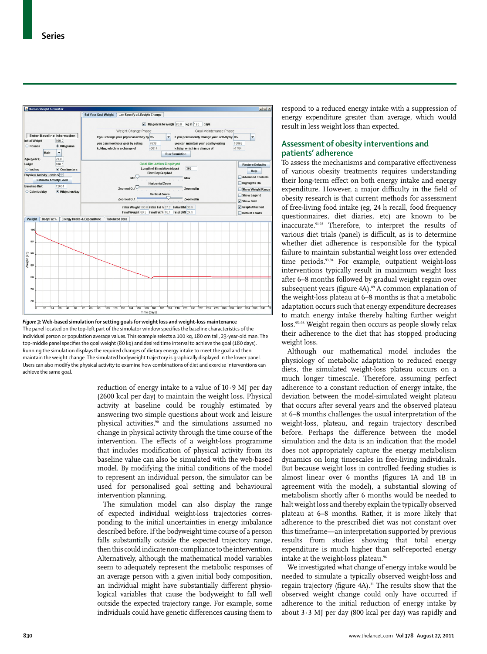

*Figure 3:* **Web-based simulation for setting goals for weight loss and weight-loss maintenance**  The panel located on the top-left part of the simulator window specifies the baseline characteristics of the individual person or population average values. This example selects a 100 kg, 180 cm tall, 23-year-old man. The top-middle panel specifies the goal weight (80 kg) and desired time interval to achieve the goal (180 days). Running the simulation displays the required changes of dietary energy intake to meet the goal and then maintain the weight change. The simulated bodyweight trajectory is graphically displayed in the lower panel. Users can also modify the physical activity to examine how combinations of diet and exercise interventions can achieve the same goal.

reduction of energy intake to a value of  $10.9$  MJ per day (2600 kcal per day) to maintain the weight loss. Physical activity at baseline could be roughly estimated by answering two simple questions about work and leisure physical activities,<sup>90</sup> and the simulations assumed no change in physical activity through the time course of the intervention. The effects of a weight-loss programme that includes modification of physical activity from its baseline value can also be simulated with the web-based model. By modifying the initial conditions of the model to represent an individual person, the simulator can be used for personalised goal setting and behavioural intervention planning.

The simulation model can also display the range of expected individual weight-loss trajectories corresponding to the initial uncertainties in energy imbalance described before. If the bodyweight time course of a person falls substantially outside the expected trajectory range, then this could indicate non-compliance to the intervention. Alternatively, although the mathematical model variables seem to adequately represent the metabolic responses of an average person with a given initial body composition, an individual might have substantially different physiological variables that cause the bodyweight to fall well outside the expected trajectory range. For example, some individuals could have genetic differences causing them to

respond to a reduced energy intake with a suppression of energy expenditure greater than average, which would result in less weight loss than expected.

## **Assessment of obesity interventions and patients' adherence**

To assess the mechanisms and comparative effectiveness of various obesity treatments requires understanding their long-term effect on both energy intake and energy expenditure. However, a major difficulty in the field of obesity research is that current methods for assessment of free-living food intake (eg, 24 h recall, food frequency questionnaires, diet diaries, etc) are known to be inaccurate.<sup>91,92</sup> Therefore, to interpret the results of various diet trials (panel) is difficult, as is to determine whether diet adherence is responsible for the typical failure to maintain substantial weight loss over extended time periods.<sup>93,94</sup> For example, outpatient weight-loss interventions typically result in maximum weight loss after 6–8 months followed by gradual weight regain over subsequent years (figure 4A).<sup>89</sup> A common explanation of the weight-loss plateau at 6–8 months is that a metabolic adaptation occurs such that energy expenditure decreases to match energy intake thereby halting further weight loss.<sup>95-98</sup> Weight regain then occurs as people slowly relax their adherence to the diet that has stopped producing weight loss.

Although our mathematical model includes the physiology of metabolic adaptation to reduced energy diets, the simulated weight-loss plateau occurs on a much longer timescale. Therefore, assuming perfect adherence to a constant reduction of energy intake, the deviation between the model-simulated weight plateau that occurs after several years and the observed plateau at 6–8 months challenges the usual interpretation of the weight-loss, plateau, and regain trajectory described before. Perhaps the difference between the model simulation and the data is an indication that the model does not appropriately capture the energy metabolism dynamics on long timescales in free-living individuals. But because weight loss in controlled feeding studies is almost linear over 6 months (figures 1A and 1B in agreement with the model), a substantial slowing of metabolism shortly after 6 months would be needed to halt weight loss and thereby explain the typically observed plateau at 6–8 months. Rather, it is more likely that adherence to the prescribed diet was not constant over this timeframe—an interpretation supported by previous results from studies showing that total energy expenditure is much higher than self-reported energy intake at the weight-loss plateau.<sup>96</sup>

We investigated what change of energy intake would be needed to simulate a typically observed weight-loss and regain trajectory (figure 4A).<sup>31</sup> The results show that the observed weight change could only have occurred if adherence to the initial reduction of energy intake by about  $3.3$  MJ per day (800 kcal per day) was rapidly and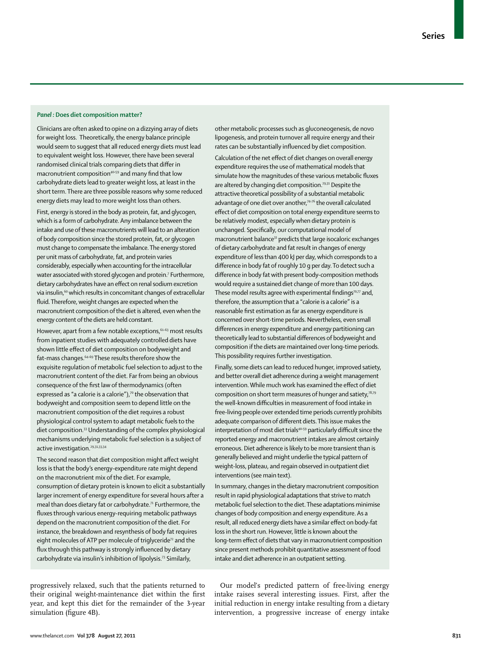#### *Panel :* **Does diet composition matter?**

Clinicians are often asked to opine on a dizzying array of diets for weight loss. Theoretically, the energy balance principle would seem to suggest that all reduced energy diets must lead to equivalent weight loss. However, there have been several randomised clinical trials comparing diets that differ in macronutrient composition<sup>40-59</sup> and many find that low carbohydrate diets lead to greater weight loss, at least in the short term. There are three possible reasons why some reduced energy diets may lead to more weight loss than others.

First, energy is stored in the body as protein, fat, and glycogen, which is a form of carbohydrate. Any imbalance between the intake and use of these macronutrients will lead to an alteration of body composition since the stored protein, fat, or glycogen must change to compensate the imbalance. The energy stored per unit mass of carbohydrate, fat, and protein varies considerably, especially when accounting for the intracellular water associated with stored glycogen and protein.7 Furthermore, dietary carbohydrates have an effect on renal sodium excretion via insulin,<sup>60</sup> which results in concomitant changes of extracellular fluid. Therefore, weight changes are expected when the macronutrient composition of the diet is altered, even when the energy content of the diets are held constant.

However, apart from a few notable exceptions, 61-63 most results from inpatient studies with adequately controlled diets have shown little effect of diet composition on bodyweight and fat-mass changes.64–69 These results therefore show the exquisite regulation of metabolic fuel selection to adjust to the macronutrient content of the diet. Far from being an obvious consequence of the first law of thermodynamics (often expressed as "a calorie is a calorie"),<sup>70</sup> the observation that bodyweight and composition seem to depend little on the macronutrient composition of the diet requires a robust physiological control system to adapt metabolic fuels to the diet composition.33 Understanding of the complex physiological mechanisms underlying metabolic fuel selection is a subject of active investigation.<sup>29,31,33,34</sup>

The second reason that diet composition might affect weight loss is that the body's energy-expenditure rate might depend on the macronutrient mix of the diet. For example, consumption of dietary protein is known to elicit a substantially larger increment of energy expenditure for several hours after a meal than does dietary fat or carbohydrate.<sup>71</sup> Furthermore, the fluxes through various energy-requiring metabolic pathways depend on the macronutrient composition of the diet. For instance, the breakdown and resynthesis of body fat requires eight molecules of ATP per molecule of triglyceride<sup>72</sup> and the flux through this pathway is strongly influenced by dietary carbohydrate via insulin's inhibition of lipolysis.73 Similarly,

progressively relaxed, such that the patients returned to their original weight-maintenance diet within the first year, and kept this diet for the remainder of the 3-year simulation (figure 4B).

other metabolic processes such as gluconeogenesis, de novo lipogenesis, and protein turnover all require energy and their rates can be substantially influenced by diet composition.

Calculation of the net effect of diet changes on overall energy expenditure requires the use of mathematical models that simulate how the magnitudes of these various metabolic fluxes are altered by changing diet composition.<sup>29,31</sup> Despite the attractive theoretical possibility of a substantial metabolic advantage of one diet over another,<sup>74-76</sup> the overall calculated effect of diet composition on total energy expenditure seems to be relatively modest, especially when dietary protein is unchanged. Specifically, our computational model of macronutrient balance31 predicts that large isocaloric exchanges of dietary carbohydrate and fat result in changes of energy expenditure of less than 400 kJ per day, which corresponds to a difference in body fat of roughly 10 g per day. To detect such a difference in body fat with present body-composition methods would require a sustained diet change of more than 100 days. These model results agree with experimental findings $70.77$  and, therefore, the assumption that a "calorie is a calorie" is a reasonable first estimation as far as energy expenditure is concerned over short-time periods. Nevertheless, even small differences in energy expenditure and energy partitioning can theoretically lead to substantial differences of bodyweight and composition if the diets are maintained over long-time periods. This possibility requires further investigation.

Finally, some diets can lead to reduced hunger, improved satiety, and better overall diet adherence during a weight management intervention. While much work has examined the effect of diet composition on short term measures of hunger and satiety,78,79 the well-known difficulties in measurement of food intake in free-living people over extended time periods currently prohibits adequate comparison of different diets. This issue makes the interpretation of most diet trials<sup>40-59</sup> particularly difficult since the reported energy and macronutrient intakes are almost certainly erroneous. Diet adherence is likely to be more transient than is generally believed and might underlie the typical pattern of weight-loss, plateau, and regain observed in outpatient diet interventions (see main text).

In summary, changes in the dietary macronutrient composition result in rapid physiological adaptations that strive to match metabolic fuel selection to the diet. These adaptations minimise changes of body composition and energy expenditure. As a result, all reduced energy diets have a similar effect on body-fat loss in the short run. However, little is known about the long-term effect of diets that vary in macronutrient composition since present methods prohibit quantitative assessment of food intake and diet adherence in an outpatient setting.

Our model's predicted pattern of free-living energy intake raises several interesting issues. First, after the initial reduction in energy intake resulting from a dietary intervention, a progressive increase of energy intake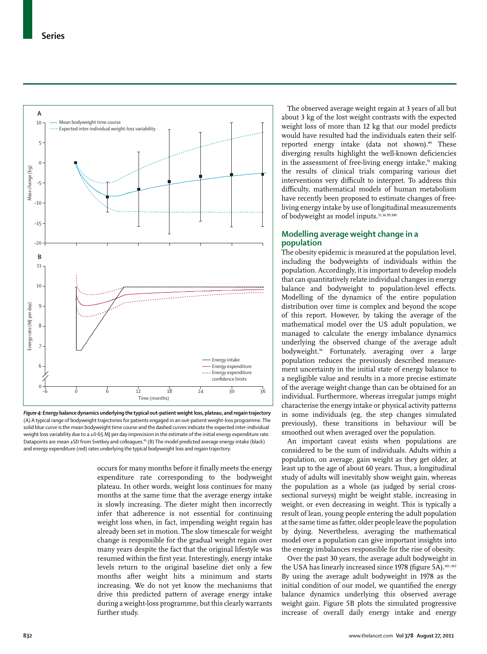

*Figure 4:* **Energy balance dynamics underlying the typical out-patient weight loss, plateau, and regain trajectory**  (A) A typical range of bodyweight trajectories for patients engaged in an out-patient weight-loss programme. The solid blue curve is the mean bodyweight time course and the dashed curves indicate the expected inter-individual weight loss variability due to a ±0.65 MJ per day imprecision in the estimate of the initial energy expenditure rate. Datapoints are mean ±SD from Svetkey and colleagues.<sup>89</sup> (B) The model predicted average energy intake (black) and energy expenditure (red) rates underlying the typical bodyweight loss and regain trajectory.

occurs for many months before it finally meets the energy expenditure rate corresponding to the bodyweight plateau. In other words, weight loss continues for many months at the same time that the average energy intake is slowly increasing. The dieter might then incorrectly infer that adherence is not essential for continuing weight loss when, in fact, impending weight regain has already been set in motion. The slow timescale for weight change is responsible for the gradual weight regain over many years despite the fact that the original lifestyle was resumed within the first year. Interestingly, energy intake levels return to the original baseline diet only a few months after weight hits a minimum and starts increasing. We do not yet know the mechanisms that drive this predicted pattern of average energy intake during a weight-loss programme, but this clearly warrants further study.

The observed average weight regain at 3 years of all but about 3 kg of the lost weight contrasts with the expected weight loss of more than 12 kg that our model predicts would have resulted had the individuals eaten their selfreported energy intake (data not shown).<sup>89</sup> These diverging results highlight the well-known deficiencies in the assessment of free-living energy intake,<sup>91</sup> making the results of clinical trials comparing various diet interventions very difficult to interpret. To address this difficulty, mathematical models of human metabolism have recently been proposed to estimate changes of freeliving energy intake by use of longitudinal measurements of bodyweight as model inputs.<sup>31,36,99,100</sup>

## **Modelling average weight change in a population**

The obesity epidemic is measured at the population level, including the bodyweights of individuals within the population. Accordingly, it is important to develop models that can quantitatively relate individual changes in energy balance and bodyweight to population-level effects. Modelling of the dynamics of the entire population distribution over time is complex and beyond the scope of this report. However, by taking the average of the mathematical model over the US adult population, we managed to calculate the energy imbalance dynamics underlying the observed change of the average adult bodyweight.<sup>36</sup> Fortunately, averaging over a large population reduces the previously described measurement uncertainty in the initial state of energy balance to a negligible value and results in a more precise estimate of the average weight change than can be obtained for an individual. Furthermore, whereas irregular jumps might characterise the energy intake or physical activity patterns in some individuals (eg, the step changes simulated previously), these transitions in behaviour will be smoothed out when averaged over the population.

An important caveat exists when populations are considered to be the sum of individuals. Adults within a population, on average, gain weight as they get older, at least up to the age of about 60 years. Thus, a longitudinal study of adults will inevitably show weight gain, whereas the population as a whole (as judged by serial crosssectional surveys) might be weight stable, increasing in weight, or even decreasing in weight. This is typically a result of lean, young people entering the adult population at the same time as fatter, older people leave the population by dying. Nevertheless, averaging the mathematical model over a population can give important insights into the energy imbalances responsible for the rise of obesity.

Over the past 30 years, the average adult bodyweight in the USA has linearly increased since 1978 (figure 5A).<sup>101-103</sup> By using the average adult bodyweight in 1978 as the initial condition of our model, we quantified the energy balance dynamics underlying this observed average weight gain. Figure 5B plots the simulated progressive increase of overall daily energy intake and energy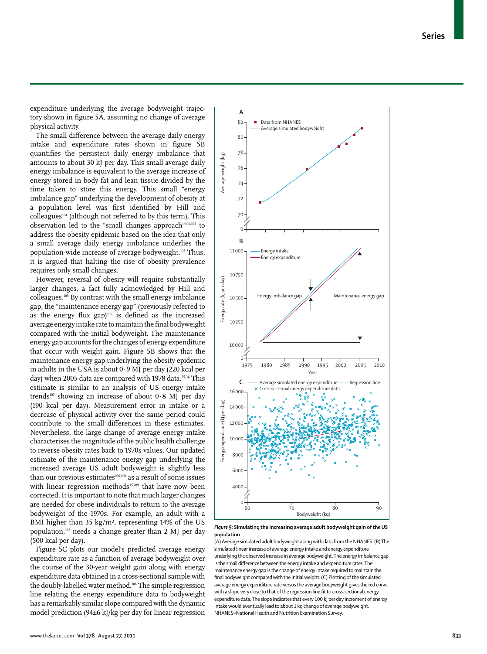expenditure underlying the average bodyweight trajectory shown in figure 5A, assuming no change of average physical activity.

The small difference between the average daily energy intake and expenditure rates shown in figure 5B quantifies the persistent daily energy imbalance that amounts to about 30 kJ per day. This small average daily energy imbalance is equivalent to the average increase of energy stored in body fat and lean tissue divided by the time taken to store this energy. This small "energy imbalance gap" underlying the development of obesity at a population level was first identified by Hill and colleagues<sup>104</sup> (although not referred to by this term). This observation led to the "small changes approach"104,105 to address the obesity epidemic based on the idea that only a small average daily energy imbalance underlies the population-wide increase of average bodyweight.105 Thus, it is argued that halting the rise of obesity prevalence requires only small changes.

However, reversal of obesity will require substantially larger changes, a fact fully acknowledged by Hill and colleagues.105 By contrast with the small energy imbalance gap, the "maintenance energy gap" (previously referred to as the energy flux gap)<sup>106</sup> is defined as the increased average energy intake rate to maintain the final bodyweight compared with the initial bodyweight. The maintenance energy gap accounts for the changes of energy expenditure that occur with weight gain. Figure 5B shows that the maintenance energy gap underlying the obesity epidemic in adults in the USA is about 0·9 MJ per day (220 kcal per day) when 2005 data are compared with 1978 data.<sup>35,36</sup> This estimate is similar to an analysis of US energy intake trends<sup>107</sup> showing an increase of about  $0.8$  MJ per day (190 kcal per day). Measurement error in intake or a decrease of physical activity over the same period could contribute to the small differences in these estimates. Nevertheless, the large change of average energy intake characterises the magnitude of the public health challenge to reverse obesity rates back to 1970s values. Our updated estimate of the maintenance energy gap underlying the increased average US adult bodyweight is slightly less than our previous estimates<sup>106,108</sup> as a result of some issues with linear regression methods<sup>35,109</sup> that have now been corrected. It is important to note that much larger changes are needed for obese individuals to return to the average bodyweight of the 1970s. For example, an adult with a BMI higher than 35 kg/m², representing 14% of the US population,102 needs a change greater than 2 MJ per day (500 kcal per day).

Figure 5C plots our model's predicted average energy expenditure rate as a function of average bodyweight over the course of the 30-year weight gain along with energy expenditure data obtained in a cross-sectional sample with the doubly-labelled water method.106 The simple regression line relating the energy expenditure data to bodyweight has a remarkably similar slope compared with the dynamic model prediction (94±6 kJ/kg per day for linear regression



*Figure 5:* **Simulating the increasing average adult bodyweight gain of the US population** 

(A) Average simulated adult bodyweight along with data from the NHANES. (B) The simulated linear increase of average energy intake and energy expenditure underlying the observed increase in average bodyweight. The energy imbalance gap is the small difference between the energy intake and expenditure rates. The maintenance energy gap is the change of energy intake required to maintain the final bodyweight compared with the initial weight. (C) Plotting of the simulated average energy expenditure rate versus the average bodyweight gives the red curve with a slope very close to that of the regression line fit to cross-sectional energy expenditure data. The slope indicates that every 100 kJ per day increment of energy intake would eventually lead to about 1 kg change of average bodyweight. NHANES=National Health and Nutrition Examination Survey.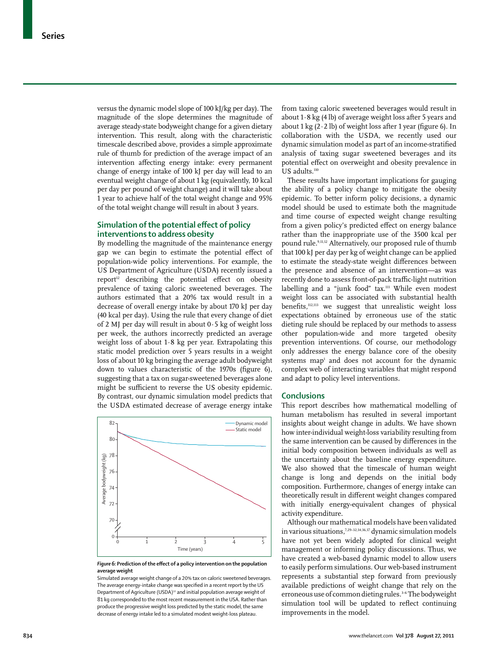versus the dynamic model slope of 100 kJ/kg per day). The magnitude of the slope determines the magnitude of average steady-state bodyweight change for a given dietary intervention. This result, along with the characteristic timescale described above, provides a simple approximate rule of thumb for prediction of the average impact of an intervention affecting energy intake: every permanent change of energy intake of 100 kJ per day will lead to an eventual weight change of about 1 kg (equivalently, 10 kcal per day per pound of weight change) and it will take about 1 year to achieve half of the total weight change and 95% of the total weight change will result in about 3 years.

## **Simulation of the potential effect of policy interventions to address obesity**

By modelling the magnitude of the maintenance energy gap we can begin to estimate the potential effect of population-wide policy interventions. For example, the US Department of Agriculture (USDA) recently issued a report<sup>12</sup> describing the potential effect on obesity prevalence of taxing caloric sweetened beverages. The authors estimated that a 20% tax would result in a decrease of overall energy intake by about 170 kJ per day (40 kcal per day). Using the rule that every change of diet of 2 MJ per day will result in about  $0.5$  kg of weight loss per week, the authors incorrectly predicted an average weight loss of about 1·8 kg per year. Extrapolating this static model prediction over 5 years results in a weight loss of about 10 kg bringing the average adult bodyweight down to values characteristic of the 1970s (figure 6), suggesting that a tax on sugar-sweetened beverages alone might be sufficient to reverse the US obesity epidemic. By contrast, our dynamic simulation model predicts that the USDA estimated decrease of average energy intake



Figure 6: Prediction of the effect of a policy intervention on the population **average weight** 

Simulated average weight change of a 20% tax on caloric sweetened beverages. The average energy-intake change was specified in a recent report by the US Department of Agriculture (USDA)<sup>12</sup> and initial population average weight of 81 kg corresponded to the most recent measurement in the USA. Rather than produce the progressive weight loss predicted by the static model, the same decrease of energy intake led to a simulated modest weight-loss plateau.

from taxing caloric sweetened beverages would result in about  $1.8$  kg (4 lb) of average weight loss after 5 years and about 1 kg  $(2 \cdot 2 \text{ lb})$  of weight loss after 1 year (figure 6). In collaboration with the USDA, we recently used our dynamic simulation model as part of an income-stratified analysis of taxing sugar sweetened beverages and its potential effect on overweight and obesity prevalence in US adults.<sup>110</sup>

These results have important implications for gauging the ability of a policy change to mitigate the obesity epidemic. To better inform policy decisions, a dynamic model should be used to estimate both the magnitude and time course of expected weight change resulting from a given policy's predicted effect on energy balance rather than the inappropriate use of the 3500 kcal per pound rule.9,11,12 Alternatively, our proposed rule of thumb that 100 kJ per day per kg of weight change can be applied to estimate the steady-state weight differences between the presence and absence of an intervention—as was recently done to assess front-of-pack traffic-light nutrition labelling and a "junk food" tax.<sup>111</sup> While even modest weight loss can be associated with substantial health benefits, $112,113$  we suggest that unrealistic weight loss expectations obtained by erroneous use of the static dieting rule should be replaced by our methods to assess other population-wide and more targeted obesity prevention interventions. Of course, our methodology only addresses the energy balance core of the obesity systems map<sup>1</sup> and does not account for the dynamic complex web of interacting variables that might respond and adapt to policy level interventions.

#### **Conclusions**

This report describes how mathematical modelling of human metabolism has resulted in several important insights about weight change in adults. We have shown how inter-individual weight-loss variability resulting from the same intervention can be caused by differences in the initial body composition between individuals as well as the uncertainty about the baseline energy expenditure. We also showed that the timescale of human weight change is long and depends on the initial body composition. Furthermore, changes of energy intake can theoretically result in different weight changes compared with initially energy-equivalent changes of physical activity expenditure.

Although our mathematical models have been validated in various situations,7,29–32,34,36,37 dynamic simulation models have not yet been widely adopted for clinical weight management or informing policy discussions. Thus, we have created a web-based dynamic model to allow users to easily perform simulations. Our web-based instrument represents a substantial step forward from previously available predictions of weight change that rely on the erroneous use of common dieting rules.<sup>3-6</sup> The bodyweight simulation tool will be updated to reflect continuing improvements in the model.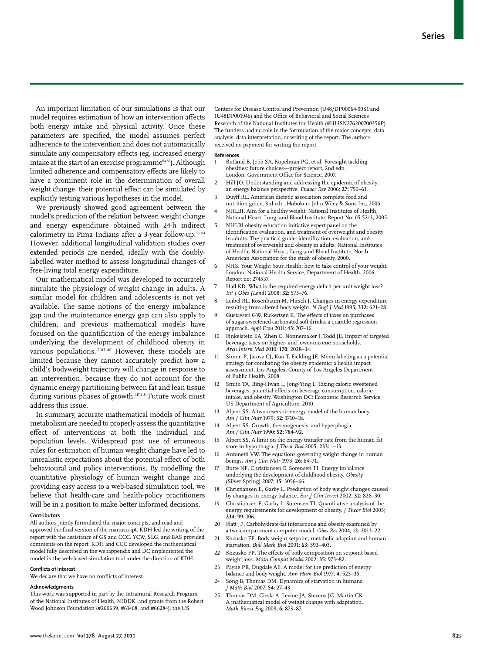An important limitation of our simulations is that our model requires estimation of how an intervention affects both energy intake and physical activity. Once these parameters are specified, the model assumes perfect adherence to the intervention and does not automatically simulate any compensatory effects (eg, increased energy intake at the start of an exercise programme<sup>84,85</sup>). Although limited adherence and compensatory effects are likely to have a prominent role in the determination of overall weight change, their potential effect can be simulated by explicitly testing various hypotheses in the model.

We previously showed good agreement between the model's prediction of the relation between weight change and energy expenditure obtained with 24-h indirect calorimetry in Pima Indians after a 3-year follow-up.<sup>36,114</sup> However, additional longitudinal validation studies over extended periods are needed, ideally with the doublylabelled water method to assess longitudinal changes of free-living total energy expenditure.

Our mathematical model was developed to accurately simulate the physiology of weight change in adults. A similar model for children and adolescents is not yet available. The same notions of the energy imbalance gap and the maintenance energy gap can also apply to children, and previous mathematical models have focused on the quantification of the energy imbalance underlying the development of childhood obesity in various populations.<sup>17,115,116</sup> However, these models are limited because they cannot accurately predict how a child's bodyweight trajectory will change in response to an intervention, because they do not account for the dynamic energy partitioning between fat and lean tissue during various phases of growth.<sup>117,118</sup> Future work must address this issue.

In summary, accurate mathematical models of human metabolism are needed to properly assess the quantitative effect of interventions at both the individual and population levels. Widespread past use of erroneous rules for estimation of human weight change have led to unrealistic expectations about the potential effect of both behavioural and policy interventions. By modelling the quantitative physiology of human weight change and providing easy access to a web-based simulation tool, we believe that health-care and health-policy practitioners will be in a position to make better informed decisions.

#### **Contributors**

All authors jointly formulated the major concepts, and read and approved the final version of the manuscript. KDH led the writing of the report with the assistance of GS and CCC. YCW, SLG, and BAS provided comments on the report. KDH and CCC developed the mathematical model fully described in the webappendix and DC implemented the model in the web-based simulation tool under the direction of KDH.

#### **Conflicts of interest**

We declare that we have no conflicts of interest.

#### **Acknowledgments**

This work was supported in part by the Intramural Research Program of the National Institutes of Health, NIDDK, and grants from the Robert Wood Johnson Foundation (#260639, #61468, and #66284), the US

Centers for Disease Control and Prevention (U48/DP00064-00S1 and 1U48DP001946) and the Office of Behavioral and Social Sciences Research of the National Institutes for Health (#HHSN276200700356P). The funders had no role in the formulation of the major concepts, data analysis, data interpretation, or writing of the report. The authors received no payment for writing the report.

#### **References**

- 1 Butland B, Jebb SA, Kopelman PG, et al. Foresight tackling obesities: future choices—project report, 2nd edn. London: Government Office for Science, 2007.
- 2 Hill JO. Understanding and addressing the epidemic of obesity: an energy balance perspective. *Endocr Rev* 2006; **27:** 750–61.
- 3 Duyff RL. American dietetic association complete food and nutrition guide, 3rd edn. Hoboken: John Wiley & Sons Inc, 2006.
- NHLBI. Aim for a healthy weight: National Institutes of Health, National Heart, Lung, and Blood Institute. Report No: 05-5213, 2005.
- 5 NHLBI obesity education initiative expert panel on the identification evaluation, and treatment of overweight and obesity in adults. The practical guide: identification, evaluation, and treatment of overweight and obesity in adults. National Institutes of Health; National Heart, Lung ,and Blood Institute; North American Association for the study of obesity, 2000.
- NHS. Your Weight Your Health: how to take control of your weight. London: National Health Service, Department of Health, 2006. Report no: 274537.
- 7 Hall KD. What is the required energy deficit per unit weight loss? *Int J Obes (Lond)* 2008; **32:** 573–76.
- Leibel RL, Rosenbaum M, Hirsch J. Changes in energy expenditure resulting from altered body weight. *N Engl J Med* 1995; **332:** 621–28.
- Gustavsen GW, Rickertsen K. The effects of taxes on purchases of sugar-sweetened carbonated soft drinks: a quantile regression approach. *Appl Econ* 2011; **43:** 707–16.
- Finkelstein EA, Zhen C, Nonnemaker J, Todd JE. Impact of targeted beverage taxes on higher- and lower-income households. *Arch Intern Med* 2010; **170:** 2028–34.
- 11 Simon P, Jarosz CJ, Kuo T, Fielding JE. Menu labeling as a potential strategy for combating the obesity epidemic: a health impact assessment. Los Angeles: County of Los Angeles Department of Public Health, 2008.
- 12 Smith TA, Bing-Hwan L, Jong-Ying L. Taxing caloric sweetened beverages: potential effects on beverage consumption, calorie intake, and obesity. Washington DC: Economic Research Service, US Department of Agriculture, 2010.
- Alpert SS. A two-reservoir energy model of the human body. *Am J Clin Nutr* 1979; **32:** 1710–18.
- Alpert SS. Growth, thermogenesis, and hyperphagia. *Am J Clin Nutr* 1990; **52:** 784–92.
- Alpert SS. A limit on the energy transfer rate from the human fat store in hypophagia. *J Theor Biol* 2005; **233:** 1–13.
- 16 Antonetti VW. The equations governing weight change in human beings. *Am J Clin Nutr* 1973; **26:** 64–71.
- Butte NF, Christiansen E, Sorensen TI. Energy imbalance underlying the development of childhood obesity. *Obesity* (Silver Spring) 2007; **15:** 3056–66.
- 18 Christiansen E, Garby L. Prediction of body weight changes caused by changes in energy balance. *Eur J Clin Invest* 2002; **32:** 826–30.
- 19 Christiansen E, Garby L, Sorensen TI. Quantitative analysis of the energy requirements for development of obesity. *J Theor Biol* 2005; **234:** 99–106.
- 20 Flatt JP. Carbohydrate-fat interactions and obesity examined by a two-compartment computer model. *Obes Res* 2004; **12:** 2013–22.
- Kozusko FP. Body weight setpoint, metabolic adaption and human starvation. *Bull Math Biol* 2001; **63:** 393–403.
- 22 Kozusko FP. The effects of body composition on setpoint based weight loss. *Math Comput Model* 2002; **35:** 973–82.
- 23 Payne PR, Dugdale AE. A model for the prediction of energy balance and body weight. *Ann Hum Biol* 1977; **4:** 525–35.
- 24 Song B, Thomas DM. Dynamics of starvation in humans. *J Math Biol* 2007; **54:** 27–43.
- 25 Thomas DM, Ciesla A, Levine JA, Stevens JG, Martin CK. A mathematical model of weight change with adaptation. *Math Biosci Eng* 2009; **6:** 873–87.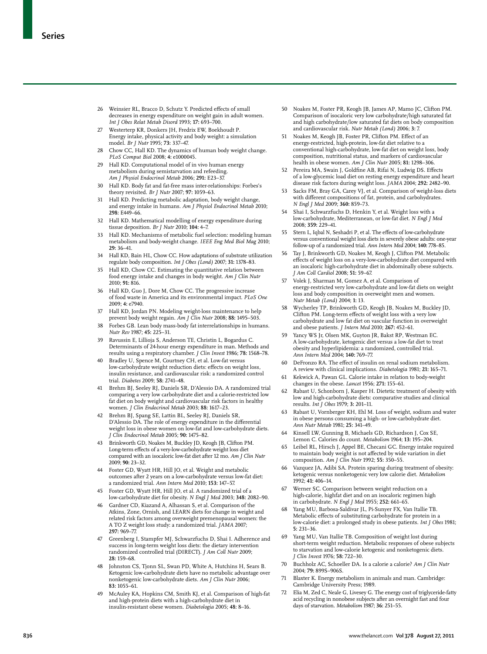- 26 Weinsier RL, Bracco D, Schutz Y. Predicted effects of small decreases in energy expenditure on weight gain in adult women. *Int J Obes Relat Metab Disord* 1993; **17:** 693–700.
- 27 Westerterp KR, Donkers JH, Fredrix EW, Boekhoudt P. Energy intake, physical activity and body weight: a simulation model. *Br J Nutr* 1995; **73:** 337–47.
- 28 Chow CC, Hall KD. The dynamics of human body weight change. *PLoS Comput Biol* 2008; **4:** e1000045.
- 29 Hall KD. Computational model of in vivo human energy metabolism during semistarvation and refeeding. *Am J Physiol Endocrinol Metab* 2006; **291:** E23–37.
- 30 Hall KD. Body fat and fat-free mass inter-relationships: Forbes's theory revisited. *Br J Nutr* 2007; **97:** 1059–63.
- 31 Hall KD. Predicting metabolic adaptation, body weight change, and energy intake in humans. *Am J Physiol Endocrinol Metab* 2010; **298:** E449–66.
- 32 Hall KD. Mathematical modelling of energy expenditure during tissue deposition. *Br J Nutr* 2010; **104:** 4–7.
- 33 Hall KD. Mechanisms of metabolic fuel selection: modeling human metabolism and body-weight change. *IEEE Eng Med Biol Mag* 2010; **29:** 36–41.
- 34 Hall KD, Bain HL, Chow CC. How adaptations of substrate utilization regulate body composition. *Int J Obes (Lond)* 2007; **31:** 1378–83.
- 35 Hall KD, Chow CC. Estimating the quantitative relation between food energy intake and changes in body weight. *Am J Clin Nutr* 2010; **91:** 816.
- 36 Hall KD, Guo J, Dore M, Chow CC. The progressive increase of food waste in America and its environmental impact. *PLoS One* 2009; **4:** e7940.
- 37 Hall KD, Jordan PN. Modeling weight-loss maintenance to help prevent body weight regain. *Am J Clin Nutr* 2008; **88:** 1495–503.
- 38 Forbes GB. Lean body mass-body fat interrelationships in humans. *Nutr Rev* 1987; **45:** 225–31.
- 39 Ravussin E, Lillioja S, Anderson TE, Christin L, Bogardus C. Determinants of 24-hour energy expenditure in man. Methods and results using a respiratory chamber. *J Clin Invest* 1986; **78:** 1568–78.
- 40 Bradley U, Spence M, Courtney CH, et al. Low-fat versus low-carbohydrate weight reduction diets: effects on weight loss, insulin resistance, and cardiovascular risk: a randomized control trial. *Diabetes* 2009; **58:** 2741–48.
- 41 Brehm BJ, Seeley RJ, Daniels SR, D'Alessio DA. A randomized trial comparing a very low carbohydrate diet and a calorie-restricted low fat diet on body weight and cardiovascular risk factors in healthy women. *J Clin Endocrinol Metab* 2003; **88:** 1617–23.
- 42 Brehm BJ, Spang SE, Lattin BL, Seeley RJ, Daniels SR, D'Alessio DA. The role of energy expenditure in the differential weight loss in obese women on low-fat and low-carbohydrate diets. *J Clin Endocrinol Metab* 2005; **90:** 1475–82.
- 43 Brinkworth GD, Noakes M, Buckley JD, Keogh JB, Clifton PM. Long-term effects of a very-low-carbohydrate weight loss diet compared with an isocaloric low-fat diet after 12 mo. *Am J Clin Nutr* 2009; **90:** 23–32.
- 44 Foster GD, Wyatt HR, Hill JO, et al. Weight and metabolic outcomes after 2 years on a low-carbohydrate versus low-fat diet: a randomized trial. *Ann Intern Med* 2010; **153:** 147–57.
- 45 Foster GD, Wyatt HR, Hill JO, et al. A randomized trial of a low-carbohydrate diet for obesity. *N Engl J Med* 2003; **348:** 2082–90.
- 46 Gardner CD, Kiazand A, Alhassan S, et al. Comparison of the Atkins, Zone, Ornish, and LEARN diets for change in weight and related risk factors among overweight premenopausal women: the A TO Z weight loss study: a randomized trial. *JAMA* 2007; **297:** 969–77.
- 47 Greenberg I, Stampfer MJ, Schwarzfuchs D, Shai I. Adherence and success in long-term weight loss diets: the dietary intervention randomized controlled trial (DIRECT). *J Am Coll Nutr* 2009; **28:** 159–68.
- 48 Johnston CS, Tjonn SL, Swan PD, White A, Hutchins H, Sears B. Ketogenic low-carbohydrate diets have no metabolic advantage over nonketogenic low-carbohydrate diets. *Am J Clin Nutr* 2006; **83:** 1055–61.
- 49 McAuley KA, Hopkins CM, Smith KJ, et al. Comparison of high-fat and high-protein diets with a high-carbohydrate diet in insulin-resistant obese women. *Diabetologia* 2005; **48:** 8–16.
- 50 Noakes M, Foster PR, Keogh JB, James AP, Mamo JC, Clifton PM. Comparison of isocaloric very low carbohydrate/high saturated fat and high carbohydrate/low saturated fat diets on body composition and cardiovascular risk. *Nutr Metab (Lond)* 2006; **3:** 7.
- Noakes M, Keogh JB, Foster PR, Clifton PM. Effect of an energy-restricted, high-protein, low-fat diet relative to a conventional high-carbohydrate, low-fat diet on weight loss, body composition, nutritional status, and markers of cardiovascular health in obese women. *Am J Clin Nutr* 2005; **81:** 1298–306.
- 52 Pereira MA, Swain J, Goldfine AB, Rifai N, Ludwig DS. Effects of a low-glycemic load diet on resting energy expenditure and heart disease risk factors during weight loss. *JAMA* 2004; **292:** 2482–90.
- 53 Sacks FM, Bray GA, Carey VJ, et al. Comparison of weight-loss diets with different compositions of fat, protein, and carbohydrates. *N Engl J Med* 2009; **360:** 859–73.
- Shai I, Schwarzfuchs D, Henkin Y, et al. Weight loss with a low-carbohydrate, Mediterranean, or low-fat diet. *N Engl J Med* 2008; **359:** 229–41.
- Stern L, Iqbal N, Seshadri P, et al. The effects of low-carbohydrate versus conventional weight loss diets in severely obese adults: one-year follow-up of a randomized trial. *Ann Intern Med* 2004; **140:** 778–85.
- 56 Tay J, Brinkworth GD, Noakes M, Keogh J, Clifton PM. Metabolic effects of weight loss on a very-low-carbohydrate diet compared with an isocaloric high-carbohydrate diet in abdominally obese subjects. *J Am Coll Cardiol* 2008; **51:** 59–67.
- 57 Volek J, Sharman M, Gomez A, et al. Comparison of energy-restricted very low-carbohydrate and low-fat diets on weight loss and body composition in overweight men and women. *Nutr Metab (Lond)* 2004; **1:** 13.
- 58 Wycherley TP, Brinkworth GD, Keogh JB, Noakes M, Buckley JD, Clifton PM. Long-term effects of weight loss with a very low carbohydrate and low fat diet on vascular function in overweight and obese patients. *J Intern Med* 2010; **267:** 452–61.
- Yancy WS Jr, Olsen MK, Guyton JR, Bakst RP, Westman EC. A low-carbohydrate, ketogenic diet versus a low-fat diet to treat obesity and hyperlipidemia: a randomized, controlled trial. *Ann Intern Med* 2004; **140:** 769–77.
- 60 DeFronzo RA. The effect of insulin on renal sodium metabolism. A review with clinical implications. *Diabetologia* 1981; **21:** 165–71.
- 61 Kekwick A, Pawan GL. Calorie intake in relation to body-weight changes in the obese. *Lancet* 1956; **271:** 155–61.
- 62 Rabast U, Schonborn J, Kasper H. Dietetic treatment of obesity with low and high-carbohydrate diets: comparative studies and clinical results. *Int J Obes* 1979; **3:** 201–11.
- 63 Rabast U, Vornberger KH, Ehl M. Loss of weight, sodium and water in obese persons consuming a high- or low-carbohydrate diet. *Ann Nutr Metab* 1981; **25:** 341–49.
- 64 Kinsell LW, Gunning B, Michaels GD, Richardson J, Cox SE, Lemon C. Calories do count. *Metabolism* 1964; **13:** 195–204.
- 65 Leibel RL, Hirsch J, Appel BE, Checani GC. Energy intake required to maintain body weight is not affected by wide variation in diet composition. *Am J Clin Nutr* 1992; **55:** 350–55.
- Vazquez JA, Adibi SA. Protein sparing during treatment of obesity: ketogenic versus nonketogenic very low calorie diet. *Metabolism* 1992; **41:** 406–14.
- 67 Werner SC. Comparison between weight reduction on a high-calorie, highfat diet and on an isocaloric regimen high in carbohydrate. *N Engl J Med* 1955; **252:** 661–65.
- Yang MU, Barbosa-Saldivar JL, Pi-Sunyer FX, Van Itallie TB. Metabolic effects of substituting carbohydrate for protein in a low-calorie diet: a prolonged study in obese patients. *Int J Obes* 1981; **5:** 231–36.
- 69 Yang MU, Van Itallie TB. Composition of weight lost during short-term weight reduction. Metabolic responses of obese subjects to starvation and low-calorie ketogenic and nonketogenic diets. *J Clin Invest* 1976; **58:** 722–30.
- Buchholz AC, Schoeller DA. Is a calorie a calorie? *Am J Clin Nutr* 2004; **79:** 899S–906S.
- 71 Blaxter K. Energy metabolism in animals and man. Cambridge: Cambridge University Press; 1989.
- Elia M, Zed C, Neale G, Livesey G. The energy cost of triglyceride-fatty acid recycling in nonobese subjects after an overnight fast and four days of starvation. *Metabolism* 1987; **36:** 251–55.